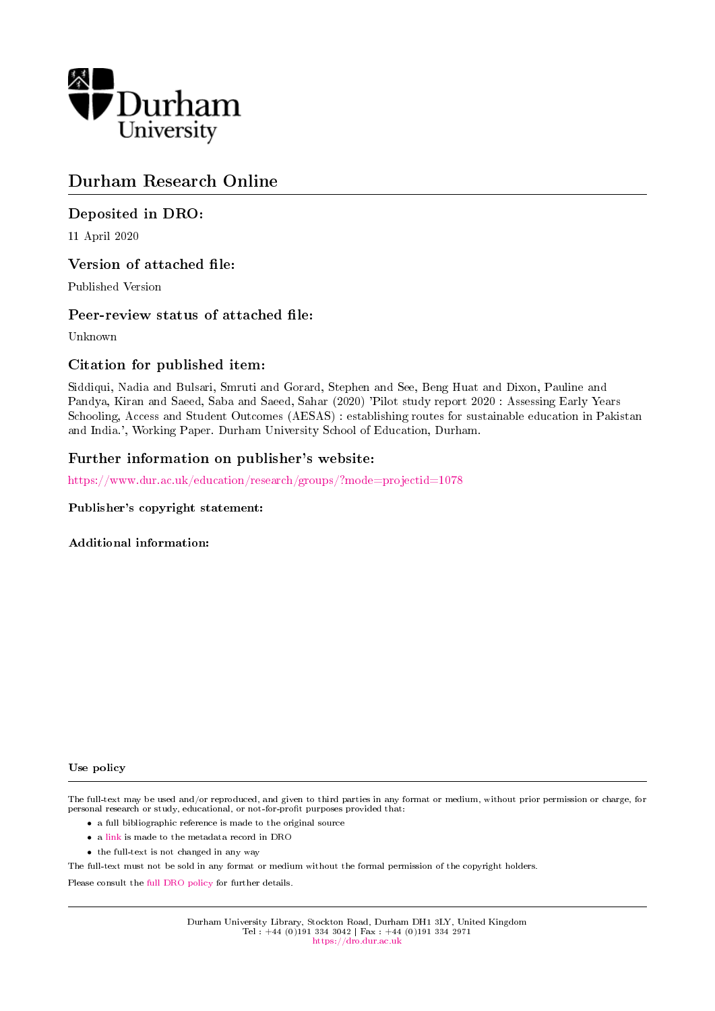

# Durham Research Online

# Deposited in DRO:

11 April 2020

# Version of attached file:

Published Version

# Peer-review status of attached file:

Unknown

# Citation for published item:

Siddiqui, Nadia and Bulsari, Smruti and Gorard, Stephen and See, Beng Huat and Dixon, Pauline and Pandya, Kiran and Saeed, Saba and Saeed, Sahar (2020) 'Pilot study report 2020 : Assessing Early Years Schooling, Access and Student Outcomes (AESAS) : establishing routes for sustainable education in Pakistan and India.', Working Paper. Durham University School of Education, Durham.

# Further information on publisher's website:

[https://www.dur.ac.uk/education/research/groups/?mode=projectid=1078](https://www.dur.ac.uk/education/research/groups/?mode=project&id=1078)

#### Publisher's copyright statement:

Additional information:

#### Use policy

The full-text may be used and/or reproduced, and given to third parties in any format or medium, without prior permission or charge, for personal research or study, educational, or not-for-profit purposes provided that:

- a full bibliographic reference is made to the original source
- a [link](http://dro.dur.ac.uk/30590/) is made to the metadata record in DRO
- the full-text is not changed in any way

The full-text must not be sold in any format or medium without the formal permission of the copyright holders.

Please consult the [full DRO policy](https://dro.dur.ac.uk/policies/usepolicy.pdf) for further details.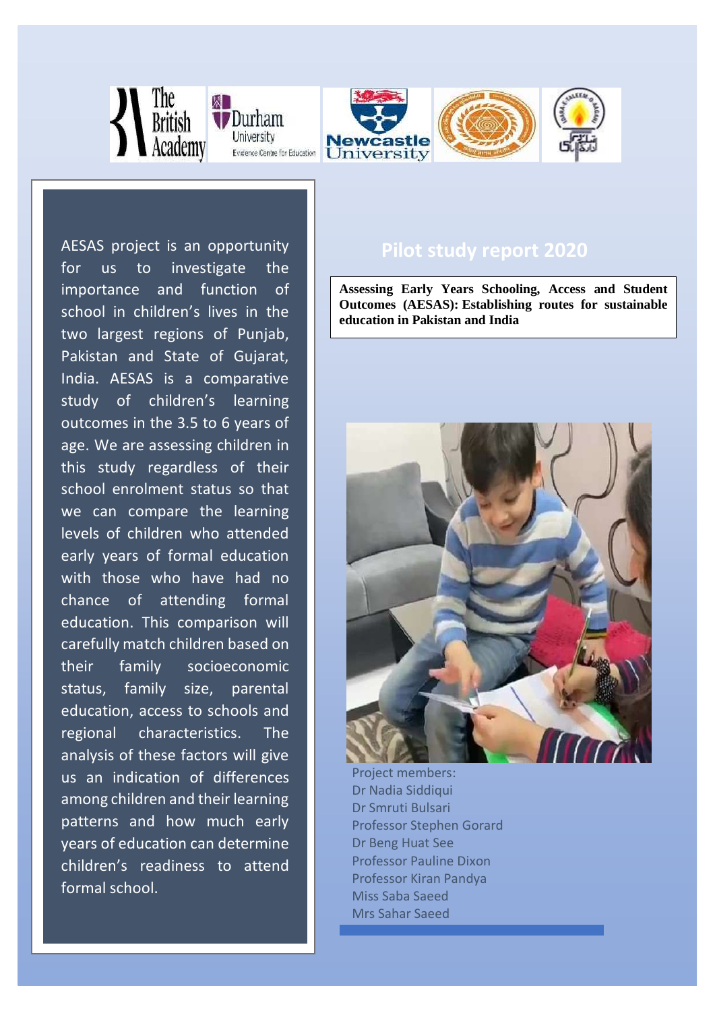

University

children's readiness to attend

formal school.





**Assessing Early Years Schooling, Access and Student Outcomes (AESAS): Establishing routes for sustainable education in Pakistan and India**



Project members: Dr Nadia Siddiqui Dr Smruti Bulsari Professor Stephen Gorard Dr Beng Huat See Professor Pauline Dixon Professor Kiran Pandya Miss Saba Saeed Mrs Sahar Saeed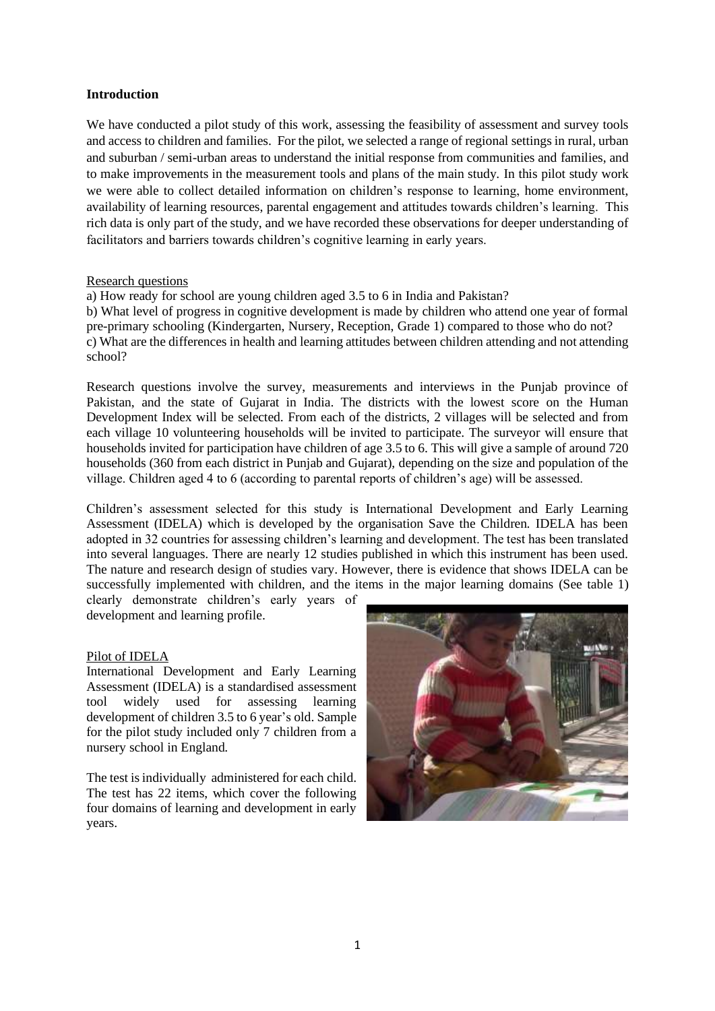## **Introduction**

We have conducted a pilot study of this work, assessing the feasibility of assessment and survey tools and access to children and families. For the pilot, we selected a range of regional settings in rural, urban and suburban / semi-urban areas to understand the initial response from communities and families, and to make improvements in the measurement tools and plans of the main study. In this pilot study work we were able to collect detailed information on children's response to learning, home environment, availability of learning resources, parental engagement and attitudes towards children's learning. This rich data is only part of the study, and we have recorded these observations for deeper understanding of facilitators and barriers towards children's cognitive learning in early years.

#### Research questions

a) How ready for school are young children aged 3.5 to 6 in India and Pakistan? b) What level of progress in cognitive development is made by children who attend one year of formal pre-primary schooling (Kindergarten, Nursery, Reception, Grade 1) compared to those who do not? c) What are the differences in health and learning attitudes between children attending and not attending school?

Research questions involve the survey, measurements and interviews in the Punjab province of Pakistan, and the state of Gujarat in India. The districts with the lowest score on the Human Development Index will be selected. From each of the districts, 2 villages will be selected and from each village 10 volunteering households will be invited to participate. The surveyor will ensure that households invited for participation have children of age 3.5 to 6. This will give a sample of around 720 households (360 from each district in Punjab and Gujarat), depending on the size and population of the village. Children aged 4 to 6 (according to parental reports of children's age) will be assessed.

Children's assessment selected for this study is International Development and Early Learning Assessment (IDELA) which is developed by the organisation Save the Children. IDELA has been adopted in 32 countries for assessing children's learning and development. The test has been translated into several languages. There are nearly 12 studies published in which this instrument has been used. The nature and research design of studies vary. However, there is evidence that shows IDELA can be successfully implemented with children, and the items in the major learning domains (See table 1)

clearly demonstrate children's early years of development and learning profile.

## Pilot of IDELA

International Development and Early Learning Assessment (IDELA) is a standardised assessment tool widely used for assessing learning development of children 3.5 to 6 year's old. Sample for the pilot study included only 7 children from a nursery school in England.

The test is individually administered for each child. The test has 22 items, which cover the following four domains of learning and development in early years.

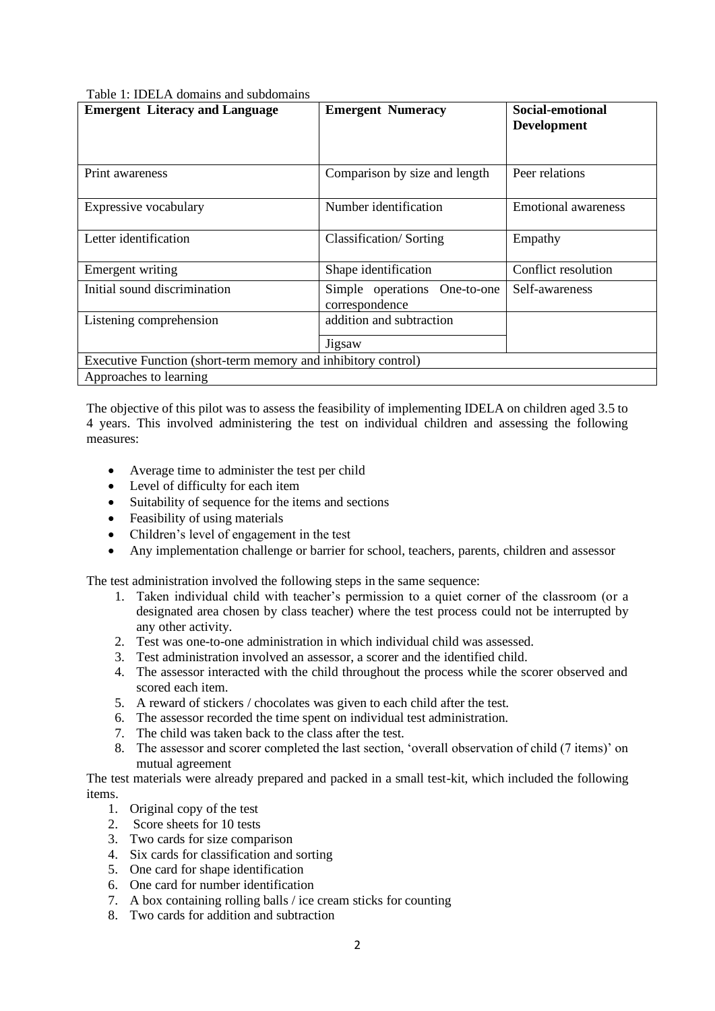|  |  | Table 1: IDELA domains and subdomains |
|--|--|---------------------------------------|
|  |  |                                       |

| <b>Emergent Literacy and Language</b>                         | <b>Emergent Numeracy</b>                       | Social-emotional<br><b>Development</b> |  |  |  |
|---------------------------------------------------------------|------------------------------------------------|----------------------------------------|--|--|--|
|                                                               |                                                |                                        |  |  |  |
| Print awareness                                               | Comparison by size and length                  | Peer relations                         |  |  |  |
| Expressive vocabulary                                         | Number identification                          | <b>Emotional awareness</b>             |  |  |  |
| Letter identification                                         | Classification/Sorting                         | Empathy                                |  |  |  |
| Emergent writing                                              | Shape identification                           | Conflict resolution                    |  |  |  |
| Initial sound discrimination                                  | Simple operations One-to-one<br>correspondence | Self-awareness                         |  |  |  |
| Listening comprehension                                       | addition and subtraction                       |                                        |  |  |  |
|                                                               | Jigsaw                                         |                                        |  |  |  |
| Executive Function (short-term memory and inhibitory control) |                                                |                                        |  |  |  |
| Approaches to learning                                        |                                                |                                        |  |  |  |

The objective of this pilot was to assess the feasibility of implementing IDELA on children aged 3.5 to 4 years. This involved administering the test on individual children and assessing the following measures:

- Average time to administer the test per child
- Level of difficulty for each item
- Suitability of sequence for the items and sections
- Feasibility of using materials
- Children's level of engagement in the test
- Any implementation challenge or barrier for school, teachers, parents, children and assessor

The test administration involved the following steps in the same sequence:

- 1. Taken individual child with teacher's permission to a quiet corner of the classroom (or a designated area chosen by class teacher) where the test process could not be interrupted by any other activity.
- 2. Test was one-to-one administration in which individual child was assessed.
- 3. Test administration involved an assessor, a scorer and the identified child.
- 4. The assessor interacted with the child throughout the process while the scorer observed and scored each item.
- 5. A reward of stickers / chocolates was given to each child after the test.
- 6. The assessor recorded the time spent on individual test administration.
- 7. The child was taken back to the class after the test.
- 8. The assessor and scorer completed the last section, 'overall observation of child (7 items)' on mutual agreement

The test materials were already prepared and packed in a small test-kit, which included the following items.

- 1. Original copy of the test
- 2. Score sheets for 10 tests
- 3. Two cards for size comparison
- 4. Six cards for classification and sorting
- 5. One card for shape identification
- 6. One card for number identification
- 7. A box containing rolling balls / ice cream sticks for counting
- 8. Two cards for addition and subtraction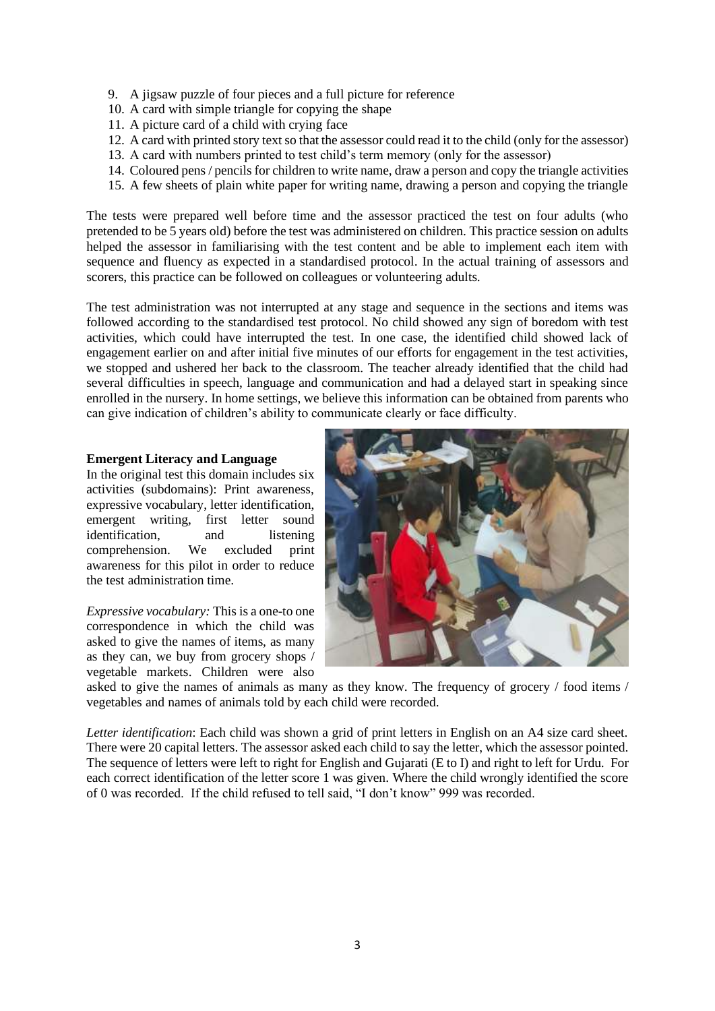- 9. A jigsaw puzzle of four pieces and a full picture for reference
- 10. A card with simple triangle for copying the shape
- 11. A picture card of a child with crying face
- 12. A card with printed story text so that the assessor could read it to the child (only for the assessor)
- 13. A card with numbers printed to test child's term memory (only for the assessor)
- 14. Coloured pens / pencils for children to write name, draw a person and copy the triangle activities
- 15. A few sheets of plain white paper for writing name, drawing a person and copying the triangle

The tests were prepared well before time and the assessor practiced the test on four adults (who pretended to be 5 years old) before the test was administered on children. This practice session on adults helped the assessor in familiarising with the test content and be able to implement each item with sequence and fluency as expected in a standardised protocol. In the actual training of assessors and scorers, this practice can be followed on colleagues or volunteering adults.

The test administration was not interrupted at any stage and sequence in the sections and items was followed according to the standardised test protocol. No child showed any sign of boredom with test activities, which could have interrupted the test. In one case, the identified child showed lack of engagement earlier on and after initial five minutes of our efforts for engagement in the test activities, we stopped and ushered her back to the classroom. The teacher already identified that the child had several difficulties in speech, language and communication and had a delayed start in speaking since enrolled in the nursery. In home settings, we believe this information can be obtained from parents who can give indication of children's ability to communicate clearly or face difficulty.

## **Emergent Literacy and Language**

In the original test this domain includes six activities (subdomains): Print awareness, expressive vocabulary, letter identification, emergent writing, first letter sound identification, and listening comprehension. We excluded print awareness for this pilot in order to reduce the test administration time.

*Expressive vocabulary:* This is a one-to one correspondence in which the child was asked to give the names of items, as many as they can, we buy from grocery shops / vegetable markets. Children were also



asked to give the names of animals as many as they know. The frequency of grocery / food items / vegetables and names of animals told by each child were recorded.

*Letter identification*: Each child was shown a grid of print letters in English on an A4 size card sheet. There were 20 capital letters. The assessor asked each child to say the letter, which the assessor pointed. The sequence of letters were left to right for English and Gujarati (E to I) and right to left for Urdu. For each correct identification of the letter score 1 was given. Where the child wrongly identified the score of 0 was recorded. If the child refused to tell said, "I don't know" 999 was recorded.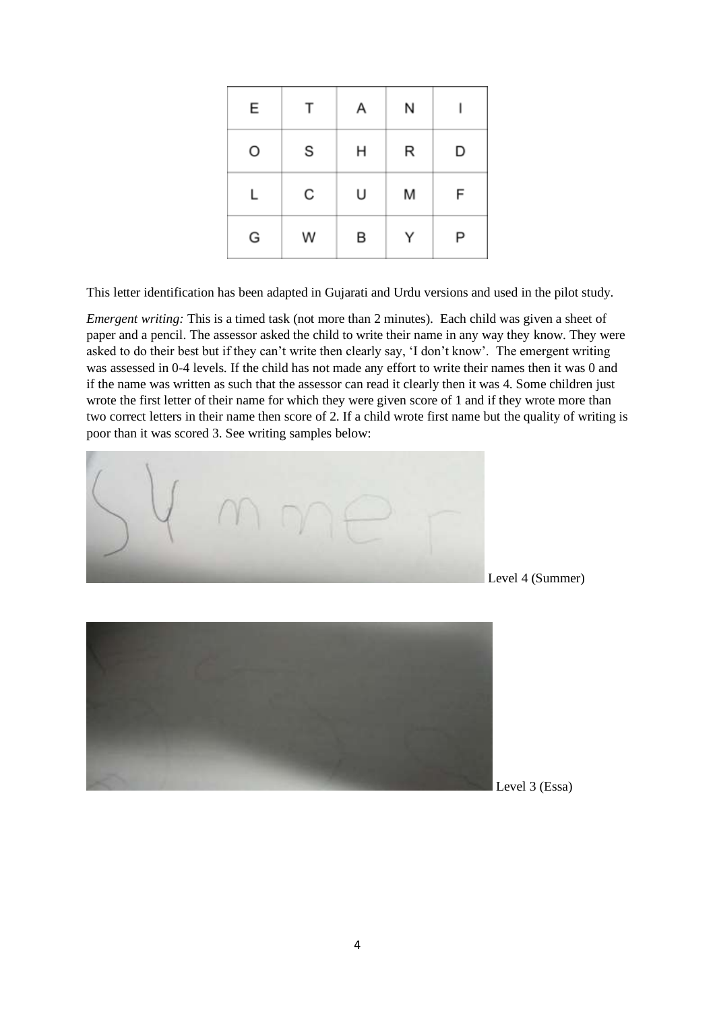| E | Т | Α | Ν |   |
|---|---|---|---|---|
| O | S | н | R | D |
| Г | С | U | M | F |
| G | W | B | Υ | Ρ |

This letter identification has been adapted in Gujarati and Urdu versions and used in the pilot study.

*Emergent writing:* This is a timed task (not more than 2 minutes). Each child was given a sheet of paper and a pencil. The assessor asked the child to write their name in any way they know. They were asked to do their best but if they can't write then clearly say, 'I don't know'. The emergent writing was assessed in 0-4 levels. If the child has not made any effort to write their names then it was 0 and if the name was written as such that the assessor can read it clearly then it was 4. Some children just wrote the first letter of their name for which they were given score of 1 and if they wrote more than two correct letters in their name then score of 2. If a child wrote first name but the quality of writing is poor than it was scored 3. See writing samples below:





Level 3 (Essa)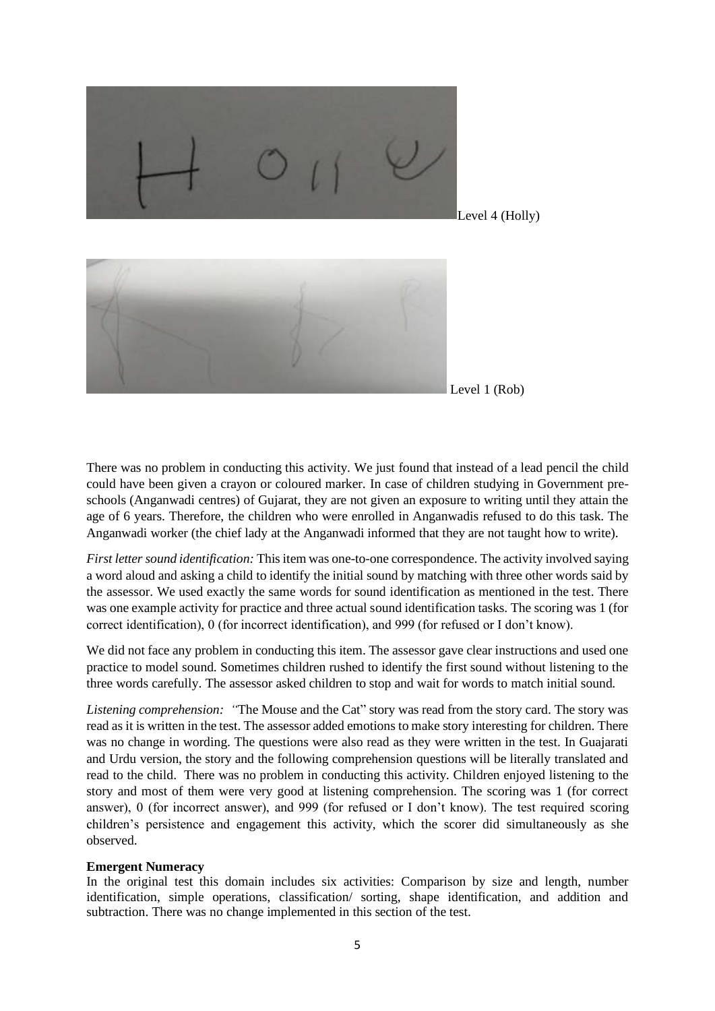

Level 1 (Rob)

There was no problem in conducting this activity. We just found that instead of a lead pencil the child could have been given a crayon or coloured marker. In case of children studying in Government preschools (Anganwadi centres) of Gujarat, they are not given an exposure to writing until they attain the age of 6 years. Therefore, the children who were enrolled in Anganwadis refused to do this task. The Anganwadi worker (the chief lady at the Anganwadi informed that they are not taught how to write).

*First letter sound identification:* This item was one-to-one correspondence. The activity involved saying a word aloud and asking a child to identify the initial sound by matching with three other words said by the assessor. We used exactly the same words for sound identification as mentioned in the test. There was one example activity for practice and three actual sound identification tasks. The scoring was 1 (for correct identification), 0 (for incorrect identification), and 999 (for refused or I don't know).

We did not face any problem in conducting this item. The assessor gave clear instructions and used one practice to model sound. Sometimes children rushed to identify the first sound without listening to the three words carefully. The assessor asked children to stop and wait for words to match initial sound.

*Listening comprehension: "*The Mouse and the Cat" story was read from the story card. The story was read as it is written in the test. The assessor added emotions to make story interesting for children. There was no change in wording. The questions were also read as they were written in the test. In Guajarati and Urdu version, the story and the following comprehension questions will be literally translated and read to the child. There was no problem in conducting this activity. Children enjoyed listening to the story and most of them were very good at listening comprehension. The scoring was 1 (for correct answer), 0 (for incorrect answer), and 999 (for refused or I don't know). The test required scoring children's persistence and engagement this activity, which the scorer did simultaneously as she observed.

#### **Emergent Numeracy**

In the original test this domain includes six activities: Comparison by size and length, number identification, simple operations, classification/ sorting, shape identification, and addition and subtraction. There was no change implemented in this section of the test.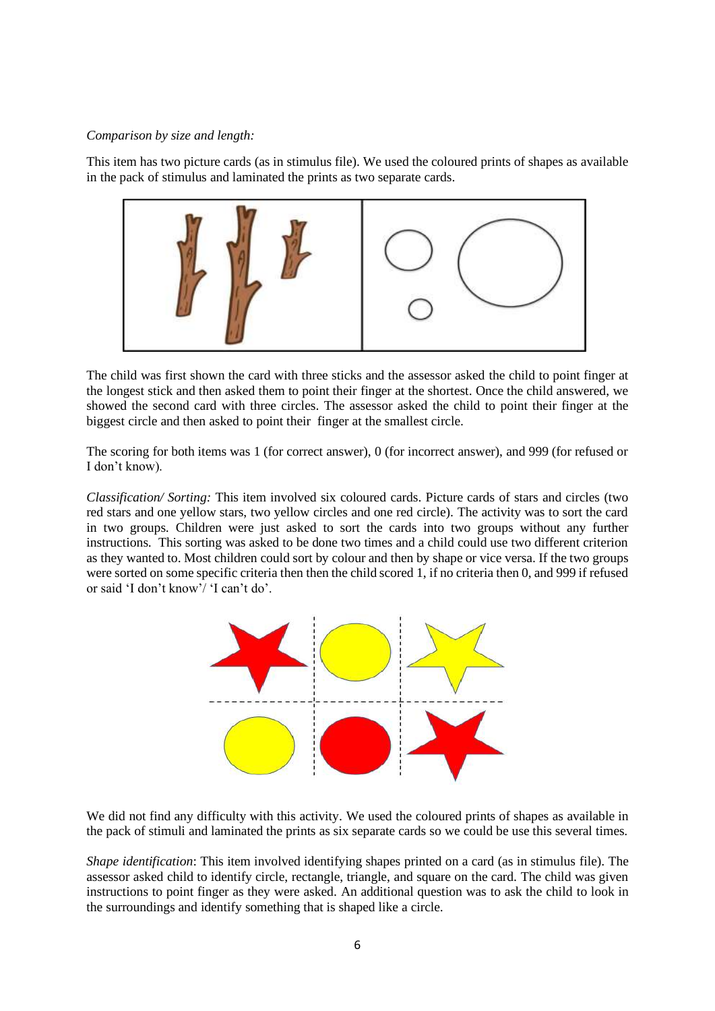#### *Comparison by size and length:*

This item has two picture cards (as in stimulus file). We used the coloured prints of shapes as available in the pack of stimulus and laminated the prints as two separate cards.



The child was first shown the card with three sticks and the assessor asked the child to point finger at the longest stick and then asked them to point their finger at the shortest. Once the child answered, we showed the second card with three circles. The assessor asked the child to point their finger at the biggest circle and then asked to point their finger at the smallest circle.

The scoring for both items was 1 (for correct answer), 0 (for incorrect answer), and 999 (for refused or I don't know).

*Classification/ Sorting:* This item involved six coloured cards. Picture cards of stars and circles (two red stars and one yellow stars, two yellow circles and one red circle). The activity was to sort the card in two groups. Children were just asked to sort the cards into two groups without any further instructions. This sorting was asked to be done two times and a child could use two different criterion as they wanted to. Most children could sort by colour and then by shape or vice versa. If the two groups were sorted on some specific criteria then then the child scored 1, if no criteria then 0, and 999 if refused or said 'I don't know'/ 'I can't do'.



We did not find any difficulty with this activity. We used the coloured prints of shapes as available in the pack of stimuli and laminated the prints as six separate cards so we could be use this several times.

*Shape identification*: This item involved identifying shapes printed on a card (as in stimulus file). The assessor asked child to identify circle, rectangle, triangle, and square on the card. The child was given instructions to point finger as they were asked. An additional question was to ask the child to look in the surroundings and identify something that is shaped like a circle.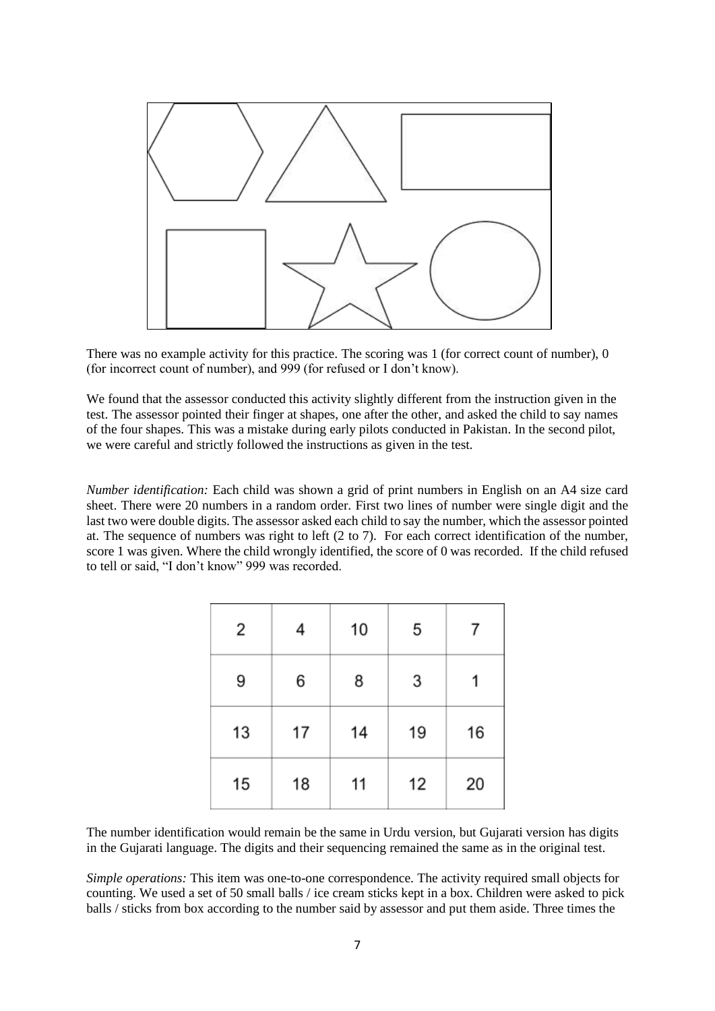

There was no example activity for this practice. The scoring was 1 (for correct count of number), 0 (for incorrect count of number), and 999 (for refused or I don't know).

We found that the assessor conducted this activity slightly different from the instruction given in the test. The assessor pointed their finger at shapes, one after the other, and asked the child to say names of the four shapes. This was a mistake during early pilots conducted in Pakistan. In the second pilot, we were careful and strictly followed the instructions as given in the test.

*Number identification:* Each child was shown a grid of print numbers in English on an A4 size card sheet. There were 20 numbers in a random order. First two lines of number were single digit and the last two were double digits. The assessor asked each child to say the number, which the assessor pointed at. The sequence of numbers was right to left (2 to 7). For each correct identification of the number, score 1 was given. Where the child wrongly identified, the score of 0 was recorded. If the child refused to tell or said, "I don't know" 999 was recorded.

| 2  | 4  | 10 | 5  |    |
|----|----|----|----|----|
| 9  | 6  | 8  | 3  |    |
| 13 | 17 | 14 | 19 | 16 |
| 15 | 18 | 11 | 12 | 20 |

The number identification would remain be the same in Urdu version, but Gujarati version has digits in the Gujarati language. The digits and their sequencing remained the same as in the original test.

*Simple operations:* This item was one-to-one correspondence. The activity required small objects for counting. We used a set of 50 small balls / ice cream sticks kept in a box. Children were asked to pick balls / sticks from box according to the number said by assessor and put them aside. Three times the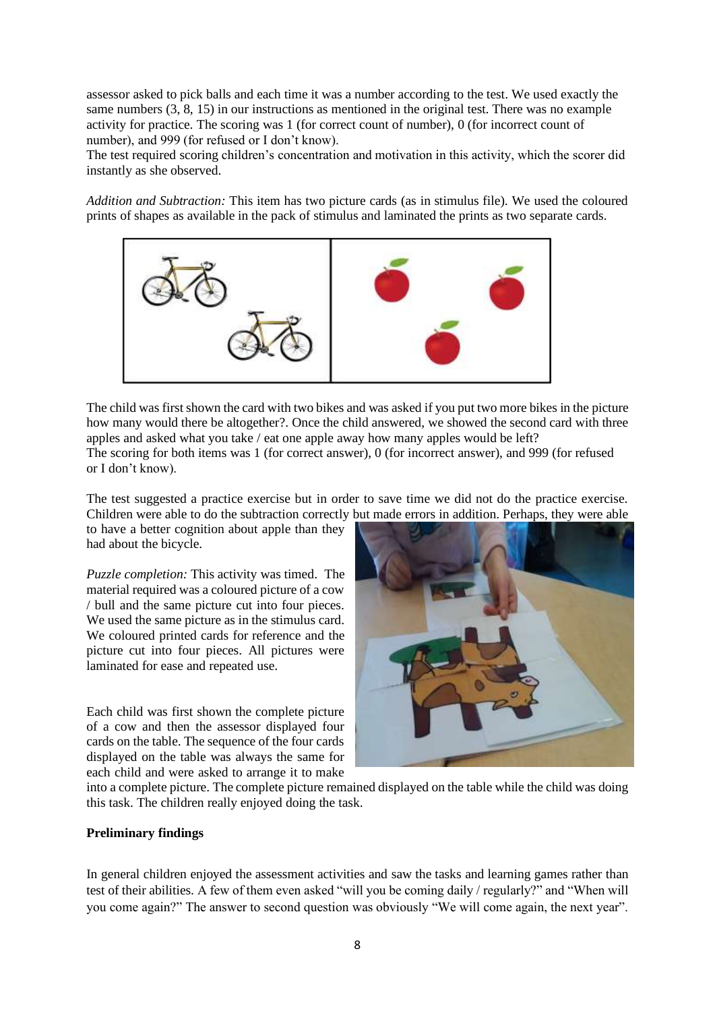assessor asked to pick balls and each time it was a number according to the test. We used exactly the same numbers (3, 8, 15) in our instructions as mentioned in the original test. There was no example activity for practice. The scoring was 1 (for correct count of number), 0 (for incorrect count of number), and 999 (for refused or I don't know).

The test required scoring children's concentration and motivation in this activity, which the scorer did instantly as she observed.

*Addition and Subtraction:* This item has two picture cards (as in stimulus file). We used the coloured prints of shapes as available in the pack of stimulus and laminated the prints as two separate cards.



The child was first shown the card with two bikes and was asked if you put two more bikes in the picture how many would there be altogether?. Once the child answered, we showed the second card with three apples and asked what you take / eat one apple away how many apples would be left? The scoring for both items was 1 (for correct answer), 0 (for incorrect answer), and 999 (for refused or I don't know).

The test suggested a practice exercise but in order to save time we did not do the practice exercise. Children were able to do the subtraction correctly but made errors in addition. Perhaps, they were able

to have a better cognition about apple than they had about the bicycle.

*Puzzle completion:* This activity was timed. The material required was a coloured picture of a cow / bull and the same picture cut into four pieces. We used the same picture as in the stimulus card. We coloured printed cards for reference and the picture cut into four pieces. All pictures were laminated for ease and repeated use.

Each child was first shown the complete picture of a cow and then the assessor displayed four cards on the table. The sequence of the four cards displayed on the table was always the same for each child and were asked to arrange it to make



into a complete picture. The complete picture remained displayed on the table while the child was doing this task. The children really enjoyed doing the task.

## **Preliminary findings**

In general children enjoyed the assessment activities and saw the tasks and learning games rather than test of their abilities. A few of them even asked "will you be coming daily / regularly?" and "When will you come again?" The answer to second question was obviously "We will come again, the next year".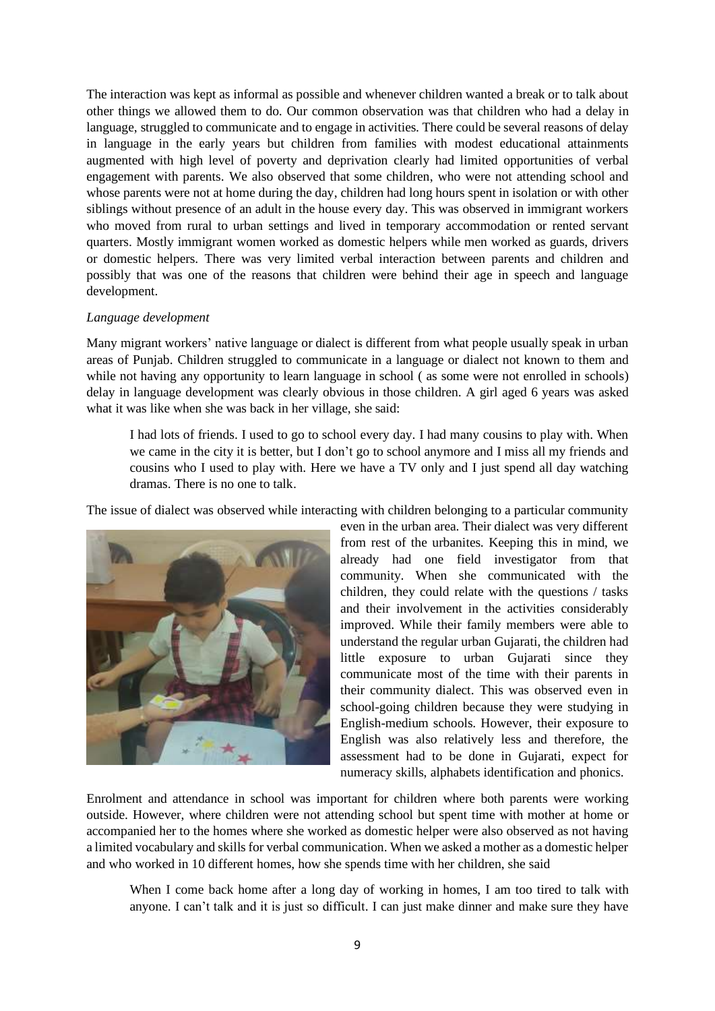The interaction was kept as informal as possible and whenever children wanted a break or to talk about other things we allowed them to do. Our common observation was that children who had a delay in language, struggled to communicate and to engage in activities. There could be several reasons of delay in language in the early years but children from families with modest educational attainments augmented with high level of poverty and deprivation clearly had limited opportunities of verbal engagement with parents. We also observed that some children, who were not attending school and whose parents were not at home during the day, children had long hours spent in isolation or with other siblings without presence of an adult in the house every day. This was observed in immigrant workers who moved from rural to urban settings and lived in temporary accommodation or rented servant quarters. Mostly immigrant women worked as domestic helpers while men worked as guards, drivers or domestic helpers. There was very limited verbal interaction between parents and children and possibly that was one of the reasons that children were behind their age in speech and language development.

## *Language development*

Many migrant workers' native language or dialect is different from what people usually speak in urban areas of Punjab. Children struggled to communicate in a language or dialect not known to them and while not having any opportunity to learn language in school (as some were not enrolled in schools) delay in language development was clearly obvious in those children. A girl aged 6 years was asked what it was like when she was back in her village, she said:

I had lots of friends. I used to go to school every day. I had many cousins to play with. When we came in the city it is better, but I don't go to school anymore and I miss all my friends and cousins who I used to play with. Here we have a TV only and I just spend all day watching dramas. There is no one to talk.

The issue of dialect was observed while interacting with children belonging to a particular community



even in the urban area. Their dialect was very different from rest of the urbanites. Keeping this in mind, we already had one field investigator from that community. When she communicated with the children, they could relate with the questions / tasks and their involvement in the activities considerably improved. While their family members were able to understand the regular urban Gujarati, the children had little exposure to urban Gujarati since they communicate most of the time with their parents in their community dialect. This was observed even in school-going children because they were studying in English-medium schools. However, their exposure to English was also relatively less and therefore, the assessment had to be done in Gujarati, expect for numeracy skills, alphabets identification and phonics.

Enrolment and attendance in school was important for children where both parents were working outside. However, where children were not attending school but spent time with mother at home or accompanied her to the homes where she worked as domestic helper were also observed as not having a limited vocabulary and skills for verbal communication. When we asked a mother as a domestic helper and who worked in 10 different homes, how she spends time with her children, she said

When I come back home after a long day of working in homes. I am too tired to talk with anyone. I can't talk and it is just so difficult. I can just make dinner and make sure they have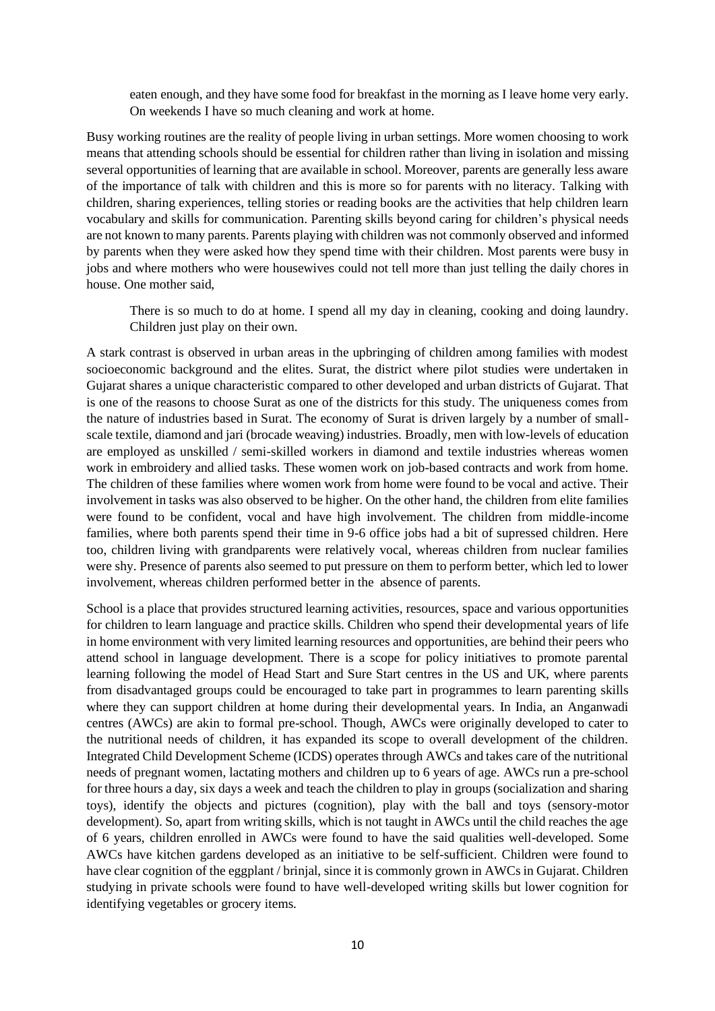eaten enough, and they have some food for breakfast in the morning as I leave home very early. On weekends I have so much cleaning and work at home.

Busy working routines are the reality of people living in urban settings. More women choosing to work means that attending schools should be essential for children rather than living in isolation and missing several opportunities of learning that are available in school. Moreover, parents are generally less aware of the importance of talk with children and this is more so for parents with no literacy. Talking with children, sharing experiences, telling stories or reading books are the activities that help children learn vocabulary and skills for communication. Parenting skills beyond caring for children's physical needs are not known to many parents. Parents playing with children was not commonly observed and informed by parents when they were asked how they spend time with their children. Most parents were busy in jobs and where mothers who were housewives could not tell more than just telling the daily chores in house. One mother said,

There is so much to do at home. I spend all my day in cleaning, cooking and doing laundry. Children just play on their own.

A stark contrast is observed in urban areas in the upbringing of children among families with modest socioeconomic background and the elites. Surat, the district where pilot studies were undertaken in Gujarat shares a unique characteristic compared to other developed and urban districts of Gujarat. That is one of the reasons to choose Surat as one of the districts for this study. The uniqueness comes from the nature of industries based in Surat. The economy of Surat is driven largely by a number of smallscale textile, diamond and jari (brocade weaving) industries. Broadly, men with low-levels of education are employed as unskilled / semi-skilled workers in diamond and textile industries whereas women work in embroidery and allied tasks. These women work on job-based contracts and work from home. The children of these families where women work from home were found to be vocal and active. Their involvement in tasks was also observed to be higher. On the other hand, the children from elite families were found to be confident, vocal and have high involvement. The children from middle-income families, where both parents spend their time in 9-6 office jobs had a bit of supressed children. Here too, children living with grandparents were relatively vocal, whereas children from nuclear families were shy. Presence of parents also seemed to put pressure on them to perform better, which led to lower involvement, whereas children performed better in the absence of parents.

School is a place that provides structured learning activities, resources, space and various opportunities for children to learn language and practice skills. Children who spend their developmental years of life in home environment with very limited learning resources and opportunities, are behind their peers who attend school in language development. There is a scope for policy initiatives to promote parental learning following the model of Head Start and Sure Start centres in the US and UK, where parents from disadvantaged groups could be encouraged to take part in programmes to learn parenting skills where they can support children at home during their developmental years. In India, an Anganwadi centres (AWCs) are akin to formal pre-school. Though, AWCs were originally developed to cater to the nutritional needs of children, it has expanded its scope to overall development of the children. Integrated Child Development Scheme (ICDS) operates through AWCs and takes care of the nutritional needs of pregnant women, lactating mothers and children up to 6 years of age. AWCs run a pre-school for three hours a day, six days a week and teach the children to play in groups (socialization and sharing toys), identify the objects and pictures (cognition), play with the ball and toys (sensory-motor development). So, apart from writing skills, which is not taught in AWCs until the child reaches the age of 6 years, children enrolled in AWCs were found to have the said qualities well-developed. Some AWCs have kitchen gardens developed as an initiative to be self-sufficient. Children were found to have clear cognition of the eggplant / brinjal, since it is commonly grown in AWCs in Gujarat. Children studying in private schools were found to have well-developed writing skills but lower cognition for identifying vegetables or grocery items.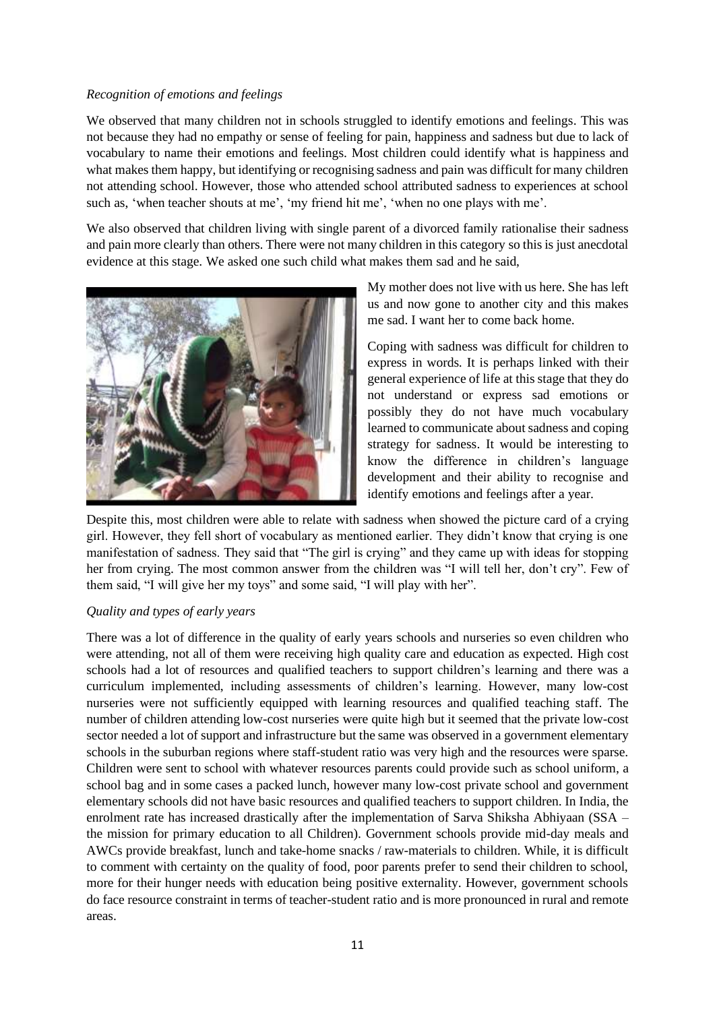## *Recognition of emotions and feelings*

We observed that many children not in schools struggled to identify emotions and feelings. This was not because they had no empathy or sense of feeling for pain, happiness and sadness but due to lack of vocabulary to name their emotions and feelings. Most children could identify what is happiness and what makes them happy, but identifying or recognising sadness and pain was difficult for many children not attending school. However, those who attended school attributed sadness to experiences at school such as, 'when teacher shouts at me', 'my friend hit me', 'when no one plays with me'.

We also observed that children living with single parent of a divorced family rationalise their sadness and pain more clearly than others. There were not many children in this category so this is just anecdotal evidence at this stage. We asked one such child what makes them sad and he said,



My mother does not live with us here. She has left us and now gone to another city and this makes me sad. I want her to come back home.

Coping with sadness was difficult for children to express in words. It is perhaps linked with their general experience of life at this stage that they do not understand or express sad emotions or possibly they do not have much vocabulary learned to communicate about sadness and coping strategy for sadness. It would be interesting to know the difference in children's language development and their ability to recognise and identify emotions and feelings after a year.

Despite this, most children were able to relate with sadness when showed the picture card of a crying girl. However, they fell short of vocabulary as mentioned earlier. They didn't know that crying is one manifestation of sadness. They said that "The girl is crying" and they came up with ideas for stopping her from crying. The most common answer from the children was "I will tell her, don't cry". Few of them said, "I will give her my toys" and some said, "I will play with her".

# *Quality and types of early years*

There was a lot of difference in the quality of early years schools and nurseries so even children who were attending, not all of them were receiving high quality care and education as expected. High cost schools had a lot of resources and qualified teachers to support children's learning and there was a curriculum implemented, including assessments of children's learning. However, many low-cost nurseries were not sufficiently equipped with learning resources and qualified teaching staff. The number of children attending low-cost nurseries were quite high but it seemed that the private low-cost sector needed a lot of support and infrastructure but the same was observed in a government elementary schools in the suburban regions where staff-student ratio was very high and the resources were sparse. Children were sent to school with whatever resources parents could provide such as school uniform, a school bag and in some cases a packed lunch, however many low-cost private school and government elementary schools did not have basic resources and qualified teachers to support children. In India, the enrolment rate has increased drastically after the implementation of Sarva Shiksha Abhiyaan (SSA – the mission for primary education to all Children). Government schools provide mid-day meals and AWCs provide breakfast, lunch and take-home snacks / raw-materials to children. While, it is difficult to comment with certainty on the quality of food, poor parents prefer to send their children to school, more for their hunger needs with education being positive externality. However, government schools do face resource constraint in terms of teacher-student ratio and is more pronounced in rural and remote areas.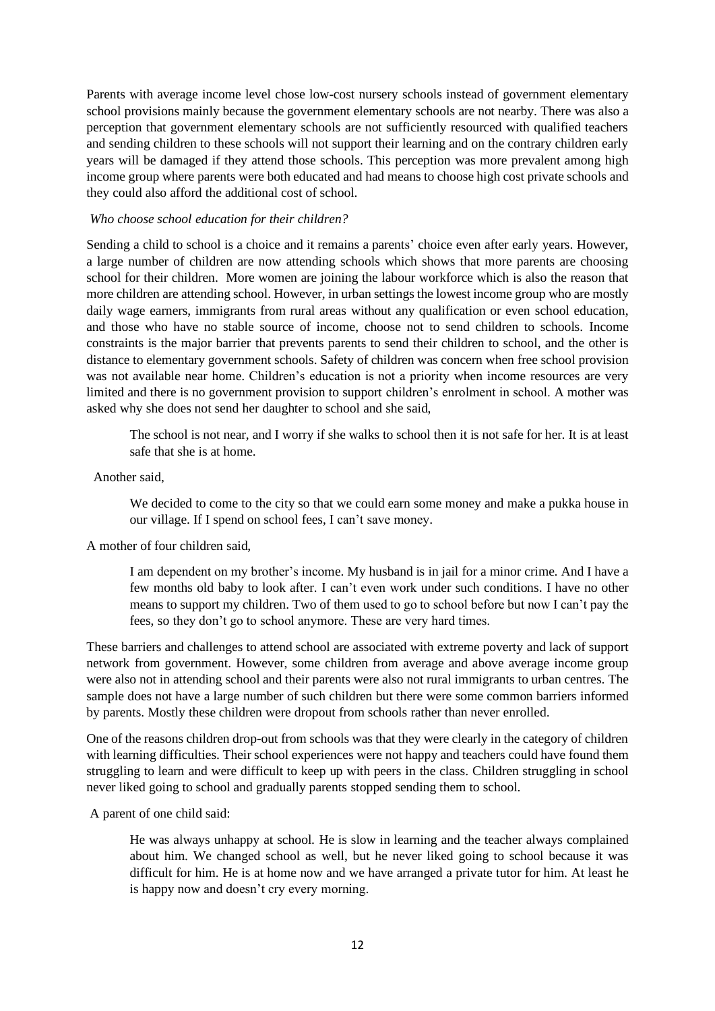Parents with average income level chose low-cost nursery schools instead of government elementary school provisions mainly because the government elementary schools are not nearby. There was also a perception that government elementary schools are not sufficiently resourced with qualified teachers and sending children to these schools will not support their learning and on the contrary children early years will be damaged if they attend those schools. This perception was more prevalent among high income group where parents were both educated and had means to choose high cost private schools and they could also afford the additional cost of school.

#### *Who choose school education for their children?*

Sending a child to school is a choice and it remains a parents' choice even after early years. However, a large number of children are now attending schools which shows that more parents are choosing school for their children. More women are joining the labour workforce which is also the reason that more children are attending school. However, in urban settings the lowest income group who are mostly daily wage earners, immigrants from rural areas without any qualification or even school education, and those who have no stable source of income, choose not to send children to schools. Income constraints is the major barrier that prevents parents to send their children to school, and the other is distance to elementary government schools. Safety of children was concern when free school provision was not available near home. Children's education is not a priority when income resources are very limited and there is no government provision to support children's enrolment in school. A mother was asked why she does not send her daughter to school and she said,

The school is not near, and I worry if she walks to school then it is not safe for her. It is at least safe that she is at home.

#### Another said,

We decided to come to the city so that we could earn some money and make a pukka house in our village. If I spend on school fees, I can't save money.

# A mother of four children said,

I am dependent on my brother's income. My husband is in jail for a minor crime. And I have a few months old baby to look after. I can't even work under such conditions. I have no other means to support my children. Two of them used to go to school before but now I can't pay the fees, so they don't go to school anymore. These are very hard times.

These barriers and challenges to attend school are associated with extreme poverty and lack of support network from government. However, some children from average and above average income group were also not in attending school and their parents were also not rural immigrants to urban centres. The sample does not have a large number of such children but there were some common barriers informed by parents. Mostly these children were dropout from schools rather than never enrolled.

One of the reasons children drop-out from schools was that they were clearly in the category of children with learning difficulties. Their school experiences were not happy and teachers could have found them struggling to learn and were difficult to keep up with peers in the class. Children struggling in school never liked going to school and gradually parents stopped sending them to school.

#### A parent of one child said:

He was always unhappy at school. He is slow in learning and the teacher always complained about him. We changed school as well, but he never liked going to school because it was difficult for him. He is at home now and we have arranged a private tutor for him. At least he is happy now and doesn't cry every morning.